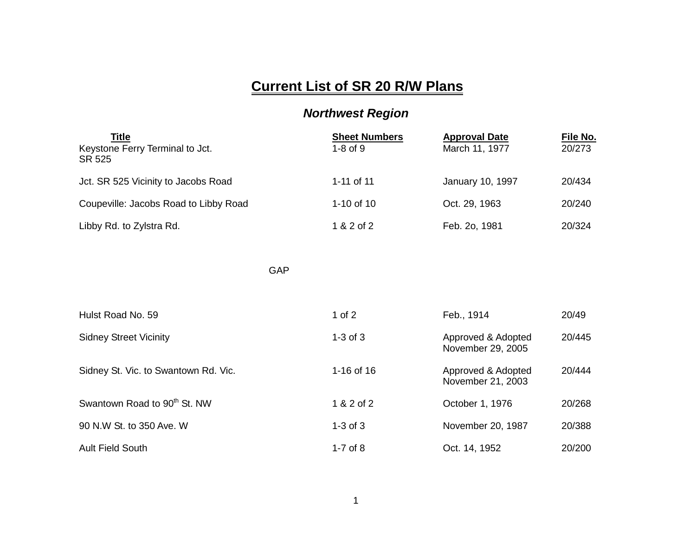## **Current List of SR 20 R/W Plans**

## *Northwest Region*

| Title<br>Keystone Ferry Terminal to Jct.<br>SR 525 | <b>Sheet Numbers</b><br>$1-8$ of $9$ | <b>Approval Date</b><br>March 11, 1977 | File No.<br>20/273 |
|----------------------------------------------------|--------------------------------------|----------------------------------------|--------------------|
| Jct. SR 525 Vicinity to Jacobs Road                | 1-11 of 11                           | January 10, 1997                       | 20/434             |
| Coupeville: Jacobs Road to Libby Road              | 1-10 of $10$                         | Oct. 29, 1963                          | 20/240             |
| Libby Rd. to Zylstra Rd.                           | 1 & 2 of 2                           | Feb. 2o, 1981                          | 20/324             |

GAP

| Hulst Road No. 59                        | 1 of $2$     | Feb., 1914                              | 20/49  |
|------------------------------------------|--------------|-----------------------------------------|--------|
| <b>Sidney Street Vicinity</b>            | $1-3$ of $3$ | Approved & Adopted<br>November 29, 2005 | 20/445 |
| Sidney St. Vic. to Swantown Rd. Vic.     | 1-16 of 16   | Approved & Adopted<br>November 21, 2003 | 20/444 |
| Swantown Road to 90 <sup>th</sup> St. NW | 1 & 2 of 2   | October 1, 1976                         | 20/268 |
| 90 N.W St. to 350 Ave. W                 | $1-3$ of $3$ | November 20, 1987                       | 20/388 |
| <b>Ault Field South</b>                  | 1-7 of $8$   | Oct. 14, 1952                           | 20/200 |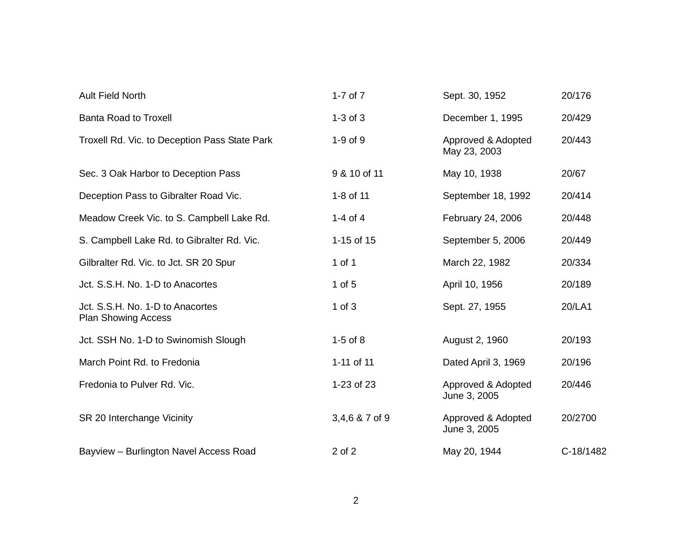| <b>Ault Field North</b>                                        | $1-7$ of $7$   | Sept. 30, 1952                     | 20/176    |
|----------------------------------------------------------------|----------------|------------------------------------|-----------|
| <b>Banta Road to Troxell</b>                                   | $1-3$ of $3$   | December 1, 1995                   | 20/429    |
| Troxell Rd. Vic. to Deception Pass State Park                  | 1-9 of 9       | Approved & Adopted<br>May 23, 2003 | 20/443    |
| Sec. 3 Oak Harbor to Deception Pass                            | 9 & 10 of 11   | May 10, 1938                       | 20/67     |
| Deception Pass to Gibralter Road Vic.                          | 1-8 of 11      | September 18, 1992                 | 20/414    |
| Meadow Creek Vic. to S. Campbell Lake Rd.                      | 1-4 of 4       | February 24, 2006                  | 20/448    |
| S. Campbell Lake Rd. to Gibralter Rd. Vic.                     | 1-15 of 15     | September 5, 2006                  | 20/449    |
| Gilbralter Rd. Vic. to Jct. SR 20 Spur                         | 1 of 1         | March 22, 1982                     | 20/334    |
| Jct. S.S.H. No. 1-D to Anacortes                               | $1$ of $5$     | April 10, 1956                     | 20/189    |
| Jct. S.S.H. No. 1-D to Anacortes<br><b>Plan Showing Access</b> | $1$ of $3$     | Sept. 27, 1955                     | 20/LA1    |
| Jct. SSH No. 1-D to Swinomish Slough                           | $1-5$ of $8$   | August 2, 1960                     | 20/193    |
| March Point Rd. to Fredonia                                    | 1-11 of 11     | Dated April 3, 1969                | 20/196    |
| Fredonia to Pulver Rd. Vic.                                    | 1-23 of 23     | Approved & Adopted<br>June 3, 2005 | 20/446    |
| SR 20 Interchange Vicinity                                     | 3,4,6 & 7 of 9 | Approved & Adopted<br>June 3, 2005 | 20/2700   |
| Bayview - Burlington Navel Access Road                         | 2 of 2         | May 20, 1944                       | C-18/1482 |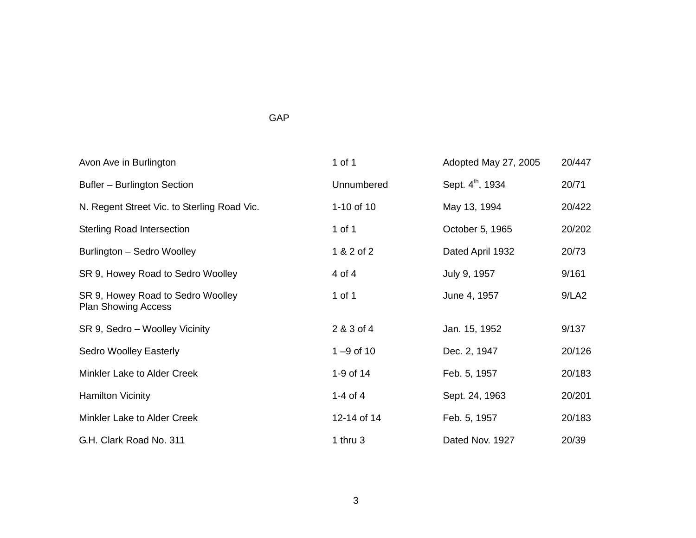## GAP

| Avon Ave in Burlington                                          | 1 of 1        | Adopted May 27, 2005         | 20/447 |
|-----------------------------------------------------------------|---------------|------------------------------|--------|
| Bufler - Burlington Section                                     | Unnumbered    | Sept. 4 <sup>th</sup> , 1934 | 20/71  |
| N. Regent Street Vic. to Sterling Road Vic.                     | 1-10 of 10    | May 13, 1994                 | 20/422 |
| <b>Sterling Road Intersection</b>                               | 1 of 1        | October 5, 1965              | 20/202 |
| Burlington - Sedro Woolley                                      | 1 & 2 of 2    | Dated April 1932             | 20/73  |
| SR 9, Howey Road to Sedro Woolley                               | 4 of 4        | July 9, 1957                 | 9/161  |
| SR 9, Howey Road to Sedro Woolley<br><b>Plan Showing Access</b> | 1 of 1        | June 4, 1957                 | 9/LA2  |
| SR 9, Sedro - Woolley Vicinity                                  | 2 & 3 of 4    | Jan. 15, 1952                | 9/137  |
| Sedro Woolley Easterly                                          | $1 - 9$ of 10 | Dec. 2, 1947                 | 20/126 |
| Minkler Lake to Alder Creek                                     | 1-9 of 14     | Feb. 5, 1957                 | 20/183 |
| <b>Hamilton Vicinity</b>                                        | 1-4 of 4      | Sept. 24, 1963               | 20/201 |
| Minkler Lake to Alder Creek                                     | 12-14 of 14   | Feb. 5, 1957                 | 20/183 |
| G.H. Clark Road No. 311                                         | 1 thru $3$    | Dated Nov. 1927              | 20/39  |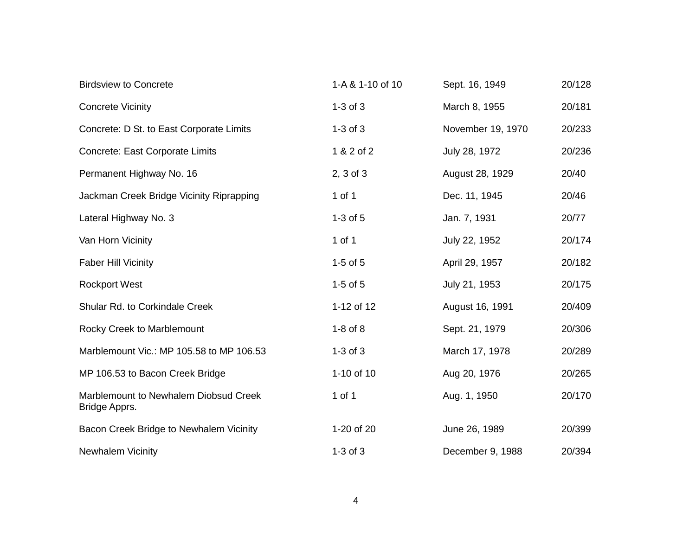| <b>Birdsview to Concrete</b>                           | 1-A & 1-10 of 10 | Sept. 16, 1949    | 20/128 |
|--------------------------------------------------------|------------------|-------------------|--------|
| <b>Concrete Vicinity</b>                               | $1-3$ of $3$     | March 8, 1955     | 20/181 |
| Concrete: D St. to East Corporate Limits               | $1-3$ of $3$     | November 19, 1970 | 20/233 |
| Concrete: East Corporate Limits                        | 1 & 2 of 2       | July 28, 1972     | 20/236 |
| Permanent Highway No. 16                               | $2, 3$ of $3$    | August 28, 1929   | 20/40  |
| Jackman Creek Bridge Vicinity Riprapping               | 1 of 1           | Dec. 11, 1945     | 20/46  |
| Lateral Highway No. 3                                  | $1-3$ of $5$     | Jan. 7, 1931      | 20/77  |
| Van Horn Vicinity                                      | 1 of 1           | July 22, 1952     | 20/174 |
| <b>Faber Hill Vicinity</b>                             | $1-5$ of $5$     | April 29, 1957    | 20/182 |
| <b>Rockport West</b>                                   | $1-5$ of $5$     | July 21, 1953     | 20/175 |
| Shular Rd. to Corkindale Creek                         | 1-12 of 12       | August 16, 1991   | 20/409 |
| Rocky Creek to Marblemount                             | $1-8$ of $8$     | Sept. 21, 1979    | 20/306 |
| Marblemount Vic.: MP 105.58 to MP 106.53               | $1-3$ of $3$     | March 17, 1978    | 20/289 |
| MP 106.53 to Bacon Creek Bridge                        | 1-10 of 10       | Aug 20, 1976      | 20/265 |
| Marblemount to Newhalem Diobsud Creek<br>Bridge Apprs. | 1 of 1           | Aug. 1, 1950      | 20/170 |
| Bacon Creek Bridge to Newhalem Vicinity                | 1-20 of 20       | June 26, 1989     | 20/399 |
| Newhalem Vicinity                                      | $1-3$ of $3$     | December 9, 1988  | 20/394 |